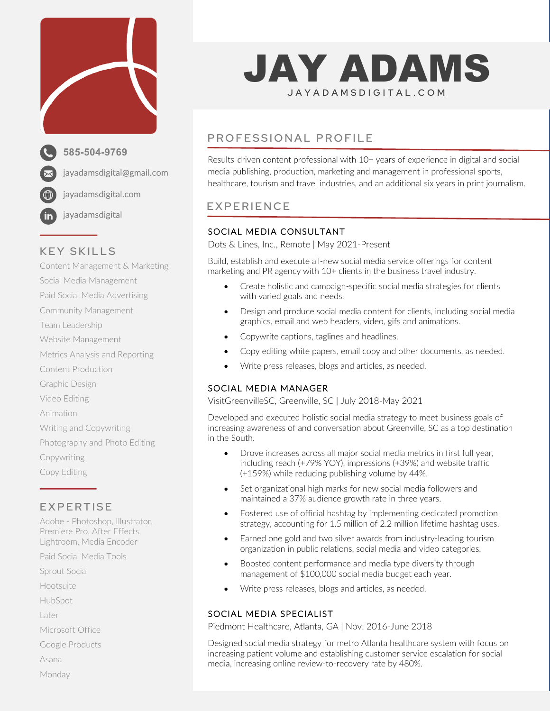

# KEY SKILLS

Content Management & Marketing Social Media Management Paid Social Media Advertising Community Management Team Leadership Website Management Metrics Analysis and Reporting Content Production Graphic Design Video Editing Animation Writing and Copywriting Photography and Photo Editing Copywriting Copy Editing

# EXPERTISE

Adobe - Photoshop, Illustrator, Premiere Pro, After Effects, Lightroom, Media Encoder

Paid Social Media Tools

Sprout Social

Hootsuite

HubSpot

Later

Microsoft Office

Google Products

Asana

Monday

# JAY ADAMS JAY ADA <sup>M</sup> SDIGITAL .COM

# PROFESSIONAL PROFILE

Results-driven content professional with 10+ years of experience in digital and social media publishing, production, marketing and management in professional sports, healthcare, tourism and travel industries, and an additional six years in print journalism.

# EXPERIENCE

## SOCIAL MEDIA CONSULTANT

Dots & Lines, Inc., Remote | May 2021-Present

Build, establish and execute all-new social media service offerings for content marketing and PR agency with 10+ clients in the business travel industry.

- Create holistic and campaign-specific social media strategies for clients with varied goals and needs.
- Design and produce social media content for clients, including social media graphics, email and web headers, video, gifs and animations.
- Copywrite captions, taglines and headlines.
- Copy editing white papers, email copy and other documents, as needed.
- Write press releases, blogs and articles, as needed.

## SOCIAL MEDIA MANAGER

VisitGreenvilleSC, Greenville, SC | July 2018-May 2021

Developed and executed holistic social media strategy to meet business goals of increasing awareness of and conversation about Greenville, SC as a top destination in the South.

- Drove increases across all major social media metrics in first full year, including reach (+79% YOY), impressions (+39%) and website traffic (+159%) while reducing publishing volume by 44%.
- Set organizational high marks for new social media followers and maintained a 37% audience growth rate in three years.
- Fostered use of official hashtag by implementing dedicated promotion strategy, accounting for 1.5 million of 2.2 million lifetime hashtag uses.
- Earned one gold and two silver awards from industry-leading tourism organization in public relations, social media and video categories.
- Boosted content performance and media type diversity through management of \$100,000 social media budget each year.
- Write press releases, blogs and articles, as needed.

## SOCIAL MEDIA SPECIALIST

Piedmont Healthcare, Atlanta, GA | Nov. 2016-June 2018

Designed social media strategy for metro Atlanta healthcare system with focus on increasing patient volume and establishing customer service escalation for social media, increasing online review-to-recovery rate by 480%.